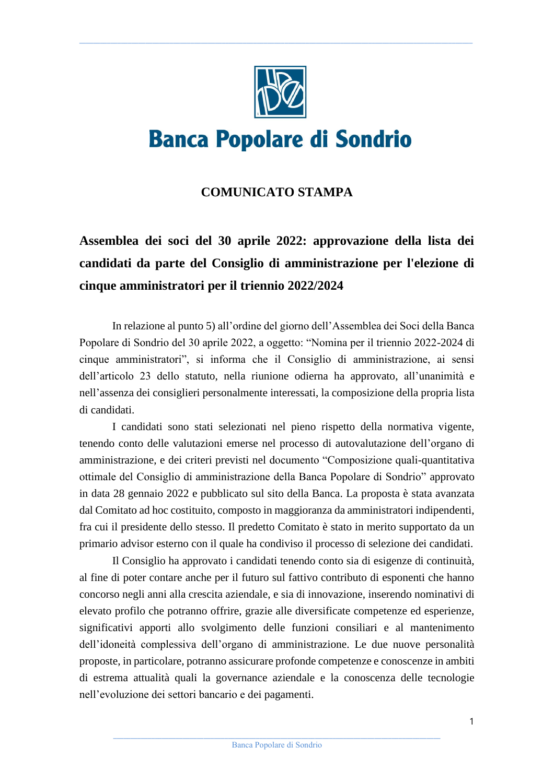

 $\_$  , and the state of the state of the state of the state of the state of the state of the state of the state of the state of the state of the state of the state of the state of the state of the state of the state of the

# **Banca Popolare di Sondrio**

### **COMUNICATO STAMPA**

## **Assemblea dei soci del 30 aprile 2022: approvazione della lista dei candidati da parte del Consiglio di amministrazione per l'elezione di cinque amministratori per il triennio 2022/2024**

In relazione al punto 5) all'ordine del giorno dell'Assemblea dei Soci della Banca Popolare di Sondrio del 30 aprile 2022, a oggetto: "Nomina per il triennio 2022-2024 di cinque amministratori", si informa che il Consiglio di amministrazione, ai sensi dell'articolo 23 dello statuto, nella riunione odierna ha approvato, all'unanimità e nell'assenza dei consiglieri personalmente interessati, la composizione della propria lista di candidati.

I candidati sono stati selezionati nel pieno rispetto della normativa vigente, tenendo conto delle valutazioni emerse nel processo di autovalutazione dell'organo di amministrazione, e dei criteri previsti nel documento "Composizione quali-quantitativa ottimale del Consiglio di amministrazione della Banca Popolare di Sondrio" approvato in data 28 gennaio 2022 e pubblicato sul sito della Banca. La proposta è stata avanzata dal Comitato ad hoc costituito, composto in maggioranza da amministratori indipendenti, fra cui il presidente dello stesso. Il predetto Comitato è stato in merito supportato da un primario advisor esterno con il quale ha condiviso il processo di selezione dei candidati.

Il Consiglio ha approvato i candidati tenendo conto sia di esigenze di continuità, al fine di poter contare anche per il futuro sul fattivo contributo di esponenti che hanno concorso negli anni alla crescita aziendale, e sia di innovazione, inserendo nominativi di elevato profilo che potranno offrire, grazie alle diversificate competenze ed esperienze, significativi apporti allo svolgimento delle funzioni consiliari e al mantenimento dell'idoneità complessiva dell'organo di amministrazione. Le due nuove personalità proposte, in particolare, potranno assicurare profonde competenze e conoscenze in ambiti di estrema attualità quali la governance aziendale e la conoscenza delle tecnologie nell'evoluzione dei settori bancario e dei pagamenti.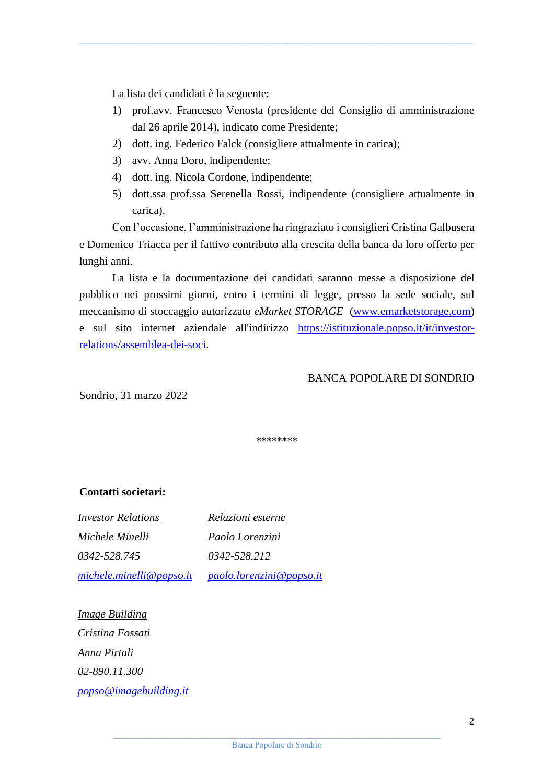La lista dei candidati è la seguente:

1) prof.avv. Francesco Venosta (presidente del Consiglio di amministrazione dal 26 aprile 2014), indicato come Presidente;

 $\_$  , and the state of the state of the state of the state of the state of the state of the state of the state of the state of the state of the state of the state of the state of the state of the state of the state of the

- 2) dott. ing. Federico Falck (consigliere attualmente in carica);
- 3) avv. Anna Doro, indipendente;
- 4) dott. ing. Nicola Cordone, indipendente;
- 5) dott.ssa prof.ssa Serenella Rossi, indipendente (consigliere attualmente in carica).

Con l'occasione, l'amministrazione ha ringraziato i consiglieri Cristina Galbusera e Domenico Triacca per il fattivo contributo alla crescita della banca da loro offerto per lunghi anni.

La lista e la documentazione dei candidati saranno messe a disposizione del pubblico nei prossimi giorni, entro i termini di legge, presso la sede sociale, sul meccanismo di stoccaggio autorizzato *eMarket STORAGE* [\(www.emarketstorage.com\)](http://www.emarketstorage.com/) e sul sito internet aziendale all'indirizzo [https://istituzionale.popso.it/it/investor](https://istituzionale.popso.it/it/investor-relations/assemblea-dei-soci)[relations/assemblea-dei-soci.](https://istituzionale.popso.it/it/investor-relations/assemblea-dei-soci)

#### BANCA POPOLARE DI SONDRIO

Sondrio, 31 marzo 2022

\*\*\*\*\*\*\*\*

#### **Contatti societari:**

*Investor Relations Michele Minelli 0342-528.745 [michele.minelli@popso.it](mailto:michele.minelli@popso.it) Relazioni esterne Paolo Lorenzini 0342-528.212 [paolo.lorenzini@popso.it](mailto:paolo.lorenzini@popso.it)*

*Image Building Cristina Fossati Anna Pirtali 02-890.11.300 [popso@imagebuilding.it](mailto:popso@imagebuilding.it)*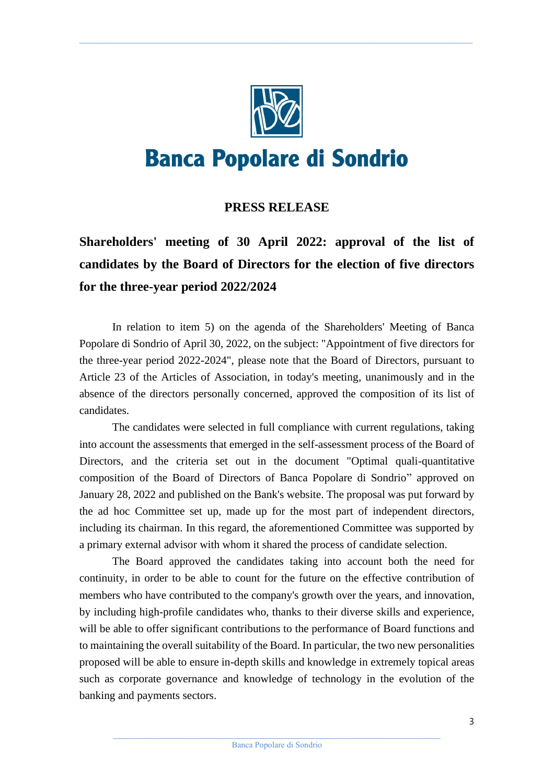

 $\_$  , and the state of the state of the state of the state of the state of the state of the state of the state of the state of the state of the state of the state of the state of the state of the state of the state of the

# **Banca Popolare di Sondrio**

### **PRESS RELEASE**

**Shareholders' meeting of 30 April 2022: approval of the list of candidates by the Board of Directors for the election of five directors for the three-year period 2022/2024**

In relation to item 5) on the agenda of the Shareholders' Meeting of Banca Popolare di Sondrio of April 30, 2022, on the subject: "Appointment of five directors for the three-year period 2022-2024", please note that the Board of Directors, pursuant to Article 23 of the Articles of Association, in today's meeting, unanimously and in the absence of the directors personally concerned, approved the composition of its list of candidates.

The candidates were selected in full compliance with current regulations, taking into account the assessments that emerged in the self-assessment process of the Board of Directors, and the criteria set out in the document "Optimal quali-quantitative composition of the Board of Directors of Banca Popolare di Sondrio" approved on January 28, 2022 and published on the Bank's website. The proposal was put forward by the ad hoc Committee set up, made up for the most part of independent directors, including its chairman. In this regard, the aforementioned Committee was supported by a primary external advisor with whom it shared the process of candidate selection.

The Board approved the candidates taking into account both the need for continuity, in order to be able to count for the future on the effective contribution of members who have contributed to the company's growth over the years, and innovation, by including high-profile candidates who, thanks to their diverse skills and experience, will be able to offer significant contributions to the performance of Board functions and to maintaining the overall suitability of the Board. In particular, the two new personalities proposed will be able to ensure in-depth skills and knowledge in extremely topical areas such as corporate governance and knowledge of technology in the evolution of the banking and payments sectors.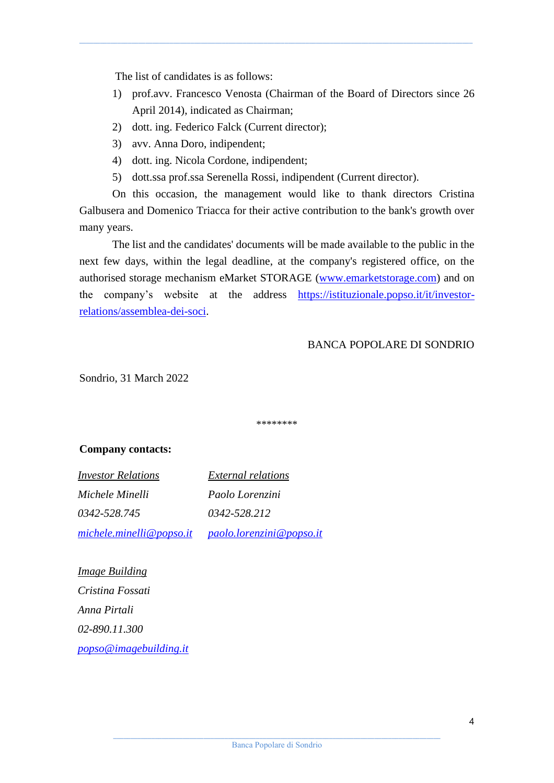The list of candidates is as follows:

1) prof.avv. Francesco Venosta (Chairman of the Board of Directors since 26 April 2014), indicated as Chairman;

 $\_$  , and the state of the state of the state of the state of the state of the state of the state of the state of the state of the state of the state of the state of the state of the state of the state of the state of the

- 2) dott. ing. Federico Falck (Current director);
- 3) avv. Anna Doro, indipendent;
- 4) dott. ing. Nicola Cordone, indipendent;
- 5) dott.ssa prof.ssa Serenella Rossi, indipendent (Current director).

On this occasion, the management would like to thank directors Cristina Galbusera and Domenico Triacca for their active contribution to the bank's growth over many years.

The list and the candidates' documents will be made available to the public in the next few days, within the legal deadline, at the company's registered office, on the authorised storage mechanism eMarket STORAGE [\(www.emarketstorage.com\)](http://www.emarketstorage.com/) and on the company's website at the address [https://istituzionale.popso.it/it/investor](https://istituzionale.popso.it/it/investor-relations/assemblea-dei-soci)[relations/assemblea-dei-soci.](https://istituzionale.popso.it/it/investor-relations/assemblea-dei-soci)

#### BANCA POPOLARE DI SONDRIO

Sondrio, 31 March 2022

\*\*\*\*\*\*\*\*

#### **Company contacts:**

*Investor Relations Michele Minelli 0342-528.745 [michele.minelli@popso.it](mailto:michele.minelli@popso.it)*

*External relations Paolo Lorenzini 0342-528.212 [paolo.lorenzini@popso.it](mailto:paolo.lorenzini@popso.it)*

*Image Building Cristina Fossati Anna Pirtali 02-890.11.300 [popso@imagebuilding.it](mailto:popso@imagebuilding.it)*